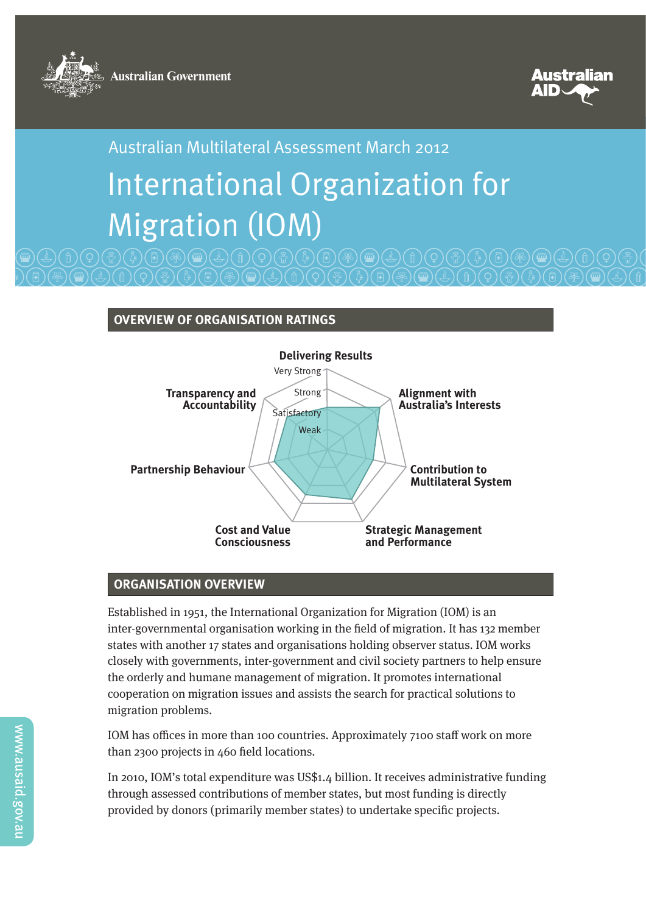

**Australian Government** 



# Australian Multilateral Assessment March 2012 International Organization for Migration (IOM)

# **OVERVIEW OF ORGANISATION RATINGS**



# **ORGANISATION OVERVIEW**

Established in 1951, the International Organization for Migration (IOM) is an inter-governmental organisation working in the field of migration. It has 132 member states with another 17 states and organisations holding observer status. IOM works closely with governments, inter-government and civil society partners to help ensure the orderly and humane management of migration. It promotes international cooperation on migration issues and assists the search for practical solutions to migration problems.

IOM has offices in more than 100 countries. Approximately 7100 staff work on more than 2300 projects in 460 field locations.

In 2010, IOM's total expenditure was US\$1.4 billion. It receives administrative funding through assessed contributions of member states, but most funding is directly provided by donors (primarily member states) to undertake specific projects.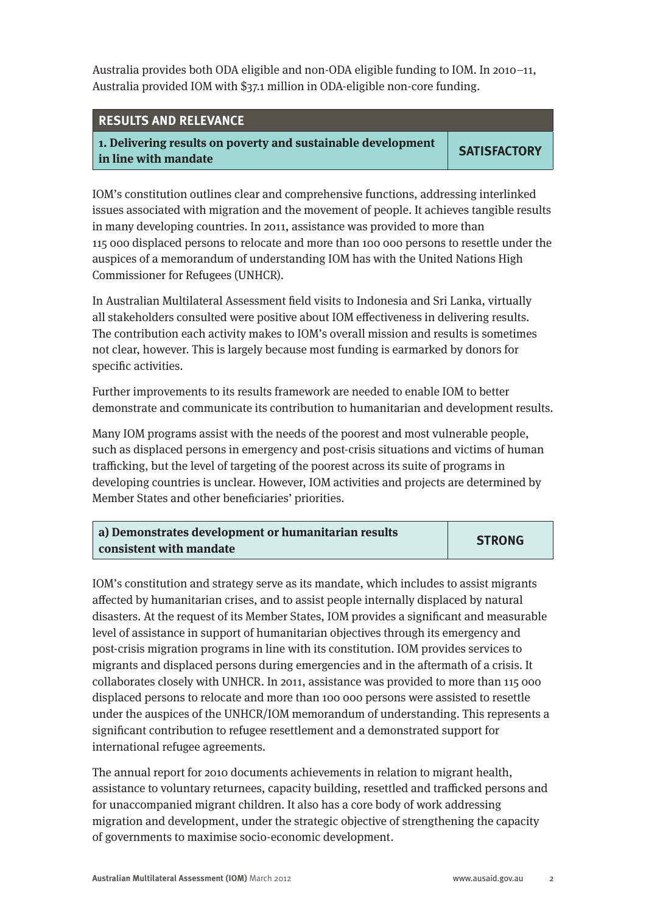Australia provides both ODA eligible and non-ODA eligible funding to IOM. In 2010–11, Australia provided IOM with \$37.1 million in ODA-eligible non-core funding.

### **RESULTS AND RELEVANCE**

**1. Delivering results on poverty and sustainable development in line with mandate SATISFACTORY**

IOM's constitution outlines clear and comprehensive functions, addressing interlinked issues associated with migration and the movement of people. It achieves tangible results in many developing countries. In 2011, assistance was provided to more than 115 000 displaced persons to relocate and more than 100 000 persons to resettle under the auspices of a memorandum of understanding IOM has with the United Nations High Commissioner for Refugees (UNHCR).

In Australian Multilateral Assessment field visits to Indonesia and Sri Lanka, virtually all stakeholders consulted were positive about IOM effectiveness in delivering results. The contribution each activity makes to IOM's overall mission and results is sometimes not clear, however. This is largely because most funding is earmarked by donors for specific activities.

Further improvements to its results framework are needed to enable IOM to better demonstrate and communicate its contribution to humanitarian and development results.

Many IOM programs assist with the needs of the poorest and most vulnerable people, such as displaced persons in emergency and post-crisis situations and victims of human trafficking, but the level of targeting of the poorest across its suite of programs in developing countries is unclear. However, IOM activities and projects are determined by Member States and other beneficiaries' priorities.

| a) Demonstrates development or humanitarian results |               |
|-----------------------------------------------------|---------------|
| consistent with mandate                             | <b>STRONG</b> |

IOM's constitution and strategy serve as its mandate, which includes to assist migrants affected by humanitarian crises, and to assist people internally displaced by natural disasters. At the request of its Member States, IOM provides a significant and measurable level of assistance in support of humanitarian objectives through its emergency and post-crisis migration programs in line with its constitution. IOM provides services to migrants and displaced persons during emergencies and in the aftermath of a crisis. It collaborates closely with UNHCR. In 2011, assistance was provided to more than 115 000 displaced persons to relocate and more than 100 000 persons were assisted to resettle under the auspices of the UNHCR/IOM memorandum of understanding. This represents a significant contribution to refugee resettlement and a demonstrated support for international refugee agreements.

The annual report for 2010 documents achievements in relation to migrant health, assistance to voluntary returnees, capacity building, resettled and trafficked persons and for unaccompanied migrant children. It also has a core body of work addressing migration and development, under the strategic objective of strengthening the capacity of governments to maximise socio-economic development.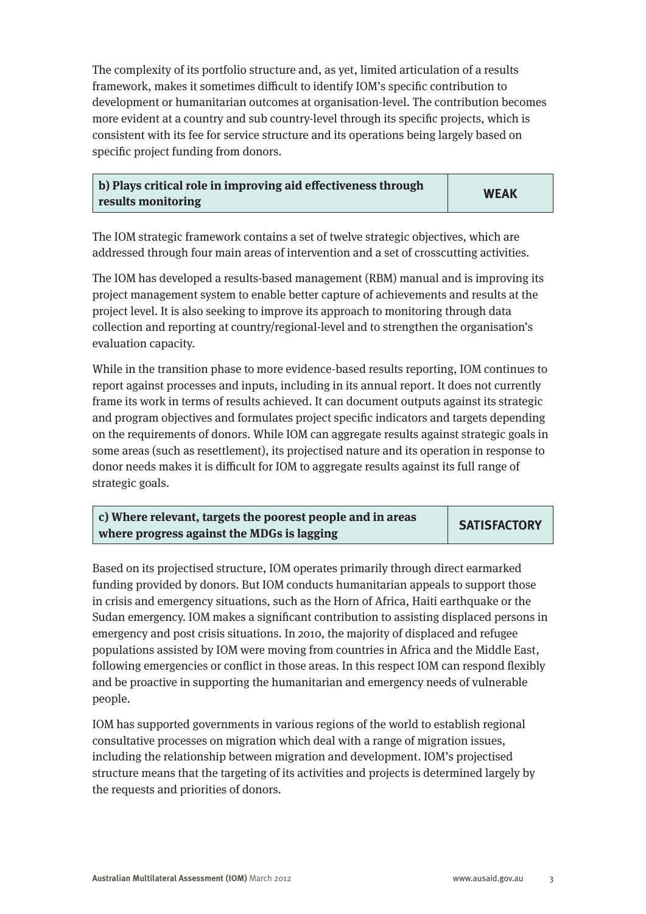The complexity of its portfolio structure and, as yet, limited articulation of a results framework, makes it sometimes difficult to identify IOM's specific contribution to development or humanitarian outcomes at organisation-level. The contribution becomes more evident at a country and sub country-level through its specific projects, which is consistent with its fee for service structure and its operations being largely based on specific project funding from donors.

| b) Plays critical role in improving aid effectiveness through | <b>WEAK</b> |
|---------------------------------------------------------------|-------------|
| results monitoring                                            |             |

The IOM strategic framework contains a set of twelve strategic objectives, which are addressed through four main areas of intervention and a set of crosscutting activities.

The IOM has developed a results-based management (RBM) manual and is improving its project management system to enable better capture of achievements and results at the project level. It is also seeking to improve its approach to monitoring through data collection and reporting at country/regional-level and to strengthen the organisation's evaluation capacity.

While in the transition phase to more evidence-based results reporting, IOM continues to report against processes and inputs, including in its annual report. It does not currently frame its work in terms of results achieved. It can document outputs against its strategic and program objectives and formulates project specific indicators and targets depending on the requirements of donors. While IOM can aggregate results against strategic goals in some areas (such as resettlement), its projectised nature and its operation in response to donor needs makes it is difficult for IOM to aggregate results against its full range of strategic goals.

| $\mid$ c) Where relevant, targets the poorest people and in areas | <b>SATISFACTORY</b> |
|-------------------------------------------------------------------|---------------------|
| where progress against the MDGs is lagging                        |                     |

Based on its projectised structure, IOM operates primarily through direct earmarked funding provided by donors. But IOM conducts humanitarian appeals to support those in crisis and emergency situations, such as the Horn of Africa, Haiti earthquake or the Sudan emergency. IOM makes a significant contribution to assisting displaced persons in emergency and post crisis situations. In 2010, the majority of displaced and refugee populations assisted by IOM were moving from countries in Africa and the Middle East, following emergencies or conflict in those areas. In this respect IOM can respond flexibly and be proactive in supporting the humanitarian and emergency needs of vulnerable people.

IOM has supported governments in various regions of the world to establish regional consultative processes on migration which deal with a range of migration issues, including the relationship between migration and development. IOM's projectised structure means that the targeting of its activities and projects is determined largely by the requests and priorities of donors.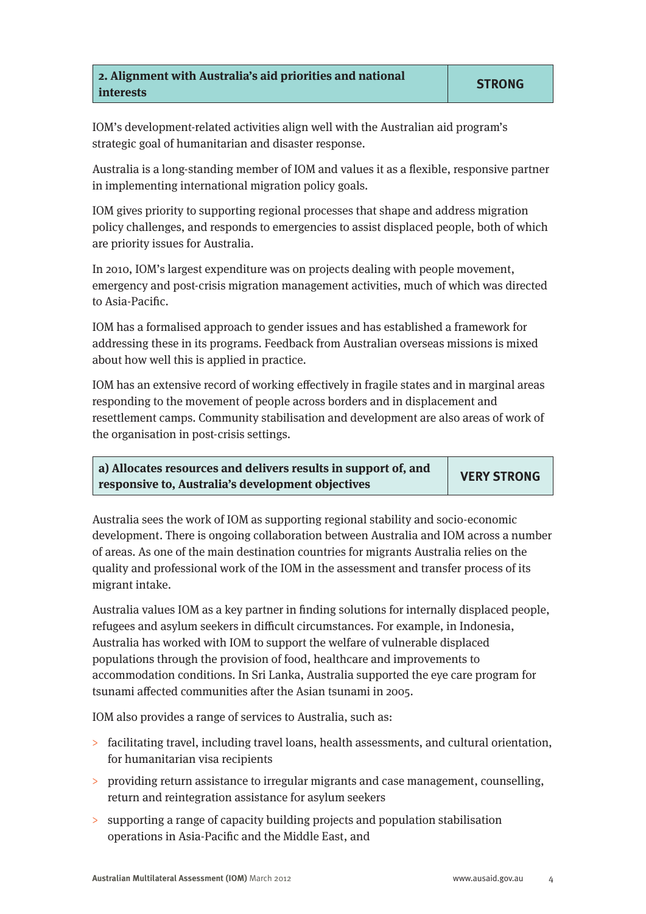IOM's development-related activities align well with the Australian aid program's strategic goal of humanitarian and disaster response.

Australia is a long-standing member of IOM and values it as a flexible, responsive partner in implementing international migration policy goals.

IOM gives priority to supporting regional processes that shape and address migration policy challenges, and responds to emergencies to assist displaced people, both of which are priority issues for Australia.

In 2010, IOM's largest expenditure was on projects dealing with people movement, emergency and post-crisis migration management activities, much of which was directed to Asia-Pacific.

IOM has a formalised approach to gender issues and has established a framework for addressing these in its programs. Feedback from Australian overseas missions is mixed about how well this is applied in practice.

IOM has an extensive record of working effectively in fragile states and in marginal areas responding to the movement of people across borders and in displacement and resettlement camps. Community stabilisation and development are also areas of work of the organisation in post-crisis settings.

| a) Allocates resources and delivers results in support of, and | <b>VERY STRONG</b> |
|----------------------------------------------------------------|--------------------|
| responsive to, Australia's development objectives              |                    |

Australia sees the work of IOM as supporting regional stability and socio-economic development. There is ongoing collaboration between Australia and IOM across a number of areas. As one of the main destination countries for migrants Australia relies on the quality and professional work of the IOM in the assessment and transfer process of its migrant intake.

Australia values IOM as a key partner in finding solutions for internally displaced people, refugees and asylum seekers in difficult circumstances. For example, in Indonesia, Australia has worked with IOM to support the welfare of vulnerable displaced populations through the provision of food, healthcare and improvements to accommodation conditions. In Sri Lanka, Australia supported the eye care program for tsunami affected communities after the Asian tsunami in 2005.

IOM also provides a range of services to Australia, such as:

- > facilitating travel, including travel loans, health assessments, and cultural orientation, for humanitarian visa recipients
- > providing return assistance to irregular migrants and case management, counselling, return and reintegration assistance for asylum seekers
- > supporting a range of capacity building projects and population stabilisation operations in Asia-Pacific and the Middle East, and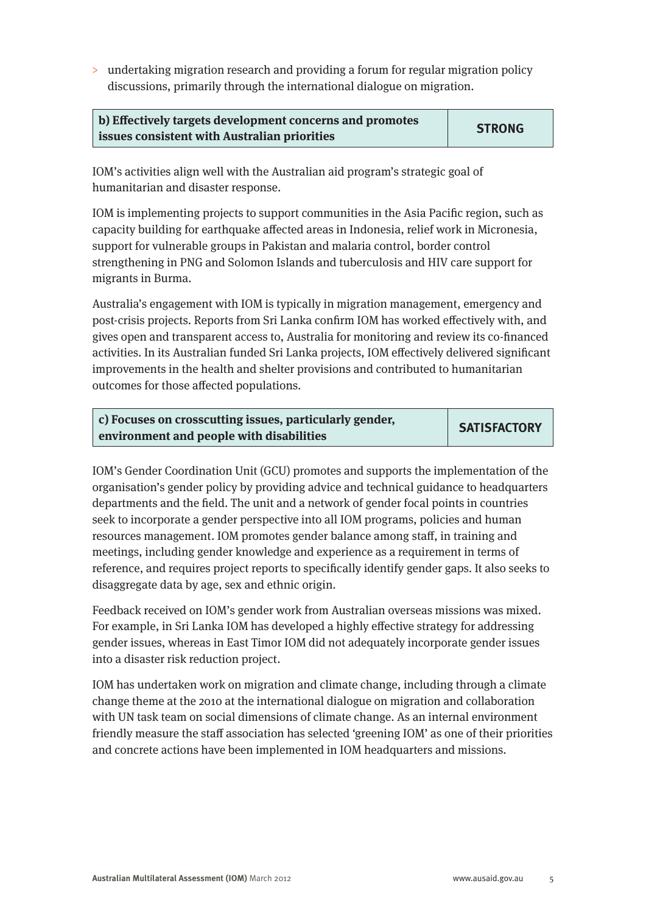> undertaking migration research and providing a forum for regular migration policy discussions, primarily through the international dialogue on migration.

| b) Effectively targets development concerns and promotes | <b>STRONG</b> |
|----------------------------------------------------------|---------------|
| issues consistent with Australian priorities             |               |

IOM's activities align well with the Australian aid program's strategic goal of humanitarian and disaster response.

IOM is implementing projects to support communities in the Asia Pacific region, such as capacity building for earthquake affected areas in Indonesia, relief work in Micronesia, support for vulnerable groups in Pakistan and malaria control, border control strengthening in PNG and Solomon Islands and tuberculosis and HIV care support for migrants in Burma.

Australia's engagement with IOM is typically in migration management, emergency and post-crisis projects. Reports from Sri Lanka confirm IOM has worked effectively with, and gives open and transparent access to, Australia for monitoring and review its co-financed activities. In its Australian funded Sri Lanka projects, IOM effectively delivered significant improvements in the health and shelter provisions and contributed to humanitarian outcomes for those affected populations.

| c) Focuses on crosscutting issues, particularly gender, | <b>SATISFACTORY</b> |
|---------------------------------------------------------|---------------------|
| environment and people with disabilities                |                     |

IOM's Gender Coordination Unit (GCU) promotes and supports the implementation of the organisation's gender policy by providing advice and technical guidance to headquarters departments and the field. The unit and a network of gender focal points in countries seek to incorporate a gender perspective into all IOM programs, policies and human resources management. IOM promotes gender balance among staff, in training and meetings, including gender knowledge and experience as a requirement in terms of reference, and requires project reports to specifically identify gender gaps. It also seeks to disaggregate data by age, sex and ethnic origin.

Feedback received on IOM's gender work from Australian overseas missions was mixed. For example, in Sri Lanka IOM has developed a highly effective strategy for addressing gender issues, whereas in East Timor IOM did not adequately incorporate gender issues into a disaster risk reduction project.

IOM has undertaken work on migration and climate change, including through a climate change theme at the 2010 at the international dialogue on migration and collaboration with UN task team on social dimensions of climate change. As an internal environment friendly measure the staff association has selected 'greening IOM' as one of their priorities and concrete actions have been implemented in IOM headquarters and missions.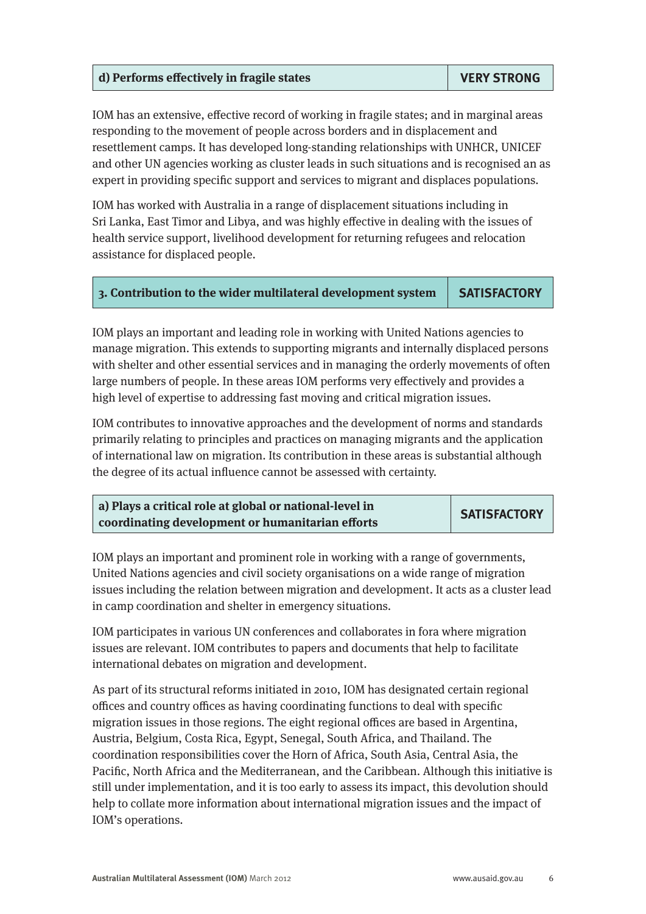# **d) Performs effectively in fragile states VERY STRONG**

IOM has an extensive, effective record of working in fragile states; and in marginal areas responding to the movement of people across borders and in displacement and resettlement camps. It has developed long-standing relationships with UNHCR, UNICEF and other UN agencies working as cluster leads in such situations and is recognised an as expert in providing specific support and services to migrant and displaces populations.

IOM has worked with Australia in a range of displacement situations including in Sri Lanka, East Timor and Libya, and was highly effective in dealing with the issues of health service support, livelihood development for returning refugees and relocation assistance for displaced people.

### **3. Contribution to the wider multilateral development system SATISFACTORY**

IOM plays an important and leading role in working with United Nations agencies to manage migration. This extends to supporting migrants and internally displaced persons with shelter and other essential services and in managing the orderly movements of often large numbers of people. In these areas IOM performs very effectively and provides a high level of expertise to addressing fast moving and critical migration issues.

IOM contributes to innovative approaches and the development of norms and standards primarily relating to principles and practices on managing migrants and the application of international law on migration. Its contribution in these areas is substantial although the degree of its actual influence cannot be assessed with certainty.

| a) Plays a critical role at global or national-level in | <b>SATISFACTORY</b> |
|---------------------------------------------------------|---------------------|
| coordinating development or humanitarian efforts        |                     |

IOM plays an important and prominent role in working with a range of governments, United Nations agencies and civil society organisations on a wide range of migration issues including the relation between migration and development. It acts as a cluster lead in camp coordination and shelter in emergency situations.

IOM participates in various UN conferences and collaborates in fora where migration issues are relevant. IOM contributes to papers and documents that help to facilitate international debates on migration and development.

As part of its structural reforms initiated in 2010, IOM has designated certain regional offices and country offices as having coordinating functions to deal with specific migration issues in those regions. The eight regional offices are based in Argentina, Austria, Belgium, Costa Rica, Egypt, Senegal, South Africa, and Thailand. The coordination responsibilities cover the Horn of Africa, South Asia, Central Asia, the Pacific, North Africa and the Mediterranean, and the Caribbean. Although this initiative is still under implementation, and it is too early to assess its impact, this devolution should help to collate more information about international migration issues and the impact of IOM's operations.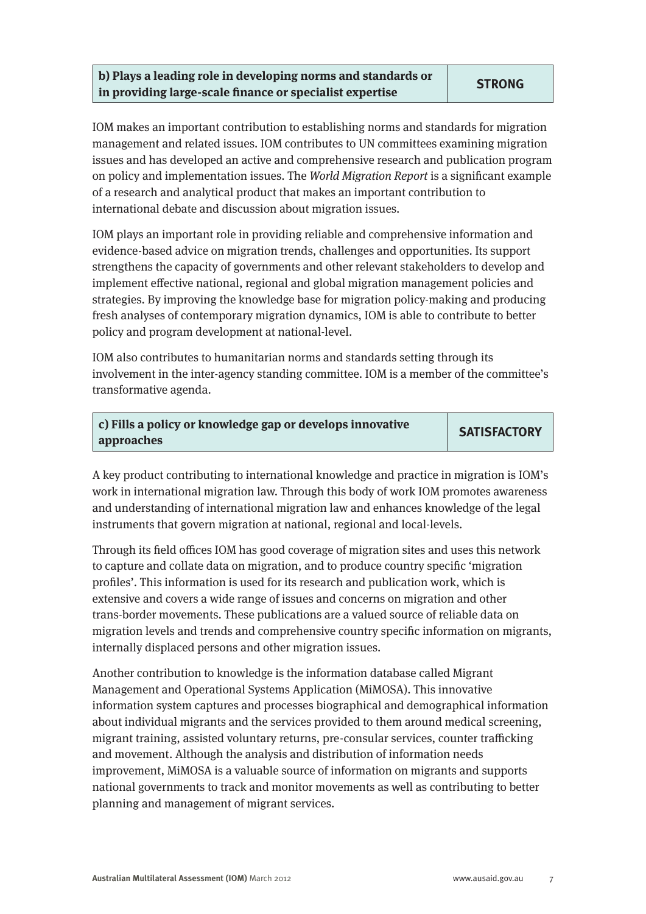IOM makes an important contribution to establishing norms and standards for migration management and related issues. IOM contributes to UN committees examining migration issues and has developed an active and comprehensive research and publication program on policy and implementation issues. The World Migration Report is a significant example of a research and analytical product that makes an important contribution to international debate and discussion about migration issues.

IOM plays an important role in providing reliable and comprehensive information and evidence-based advice on migration trends, challenges and opportunities. Its support strengthens the capacity of governments and other relevant stakeholders to develop and implement effective national, regional and global migration management policies and strategies. By improving the knowledge base for migration policy-making and producing fresh analyses of contemporary migration dynamics, IOM is able to contribute to better policy and program development at national-level.

IOM also contributes to humanitarian norms and standards setting through its involvement in the inter-agency standing committee. IOM is a member of the committee's transformative agenda.

| c) Fills a policy or knowledge gap or develops innovative | <b>SATISFACTORY</b> |
|-----------------------------------------------------------|---------------------|
| approaches                                                |                     |

A key product contributing to international knowledge and practice in migration is IOM's work in international migration law. Through this body of work IOM promotes awareness and understanding of international migration law and enhances knowledge of the legal instruments that govern migration at national, regional and local-levels.

Through its field offices IOM has good coverage of migration sites and uses this network to capture and collate data on migration, and to produce country specific 'migration profiles'. This information is used for its research and publication work, which is extensive and covers a wide range of issues and concerns on migration and other trans-border movements. These publications are a valued source of reliable data on migration levels and trends and comprehensive country specific information on migrants, internally displaced persons and other migration issues.

Another contribution to knowledge is the information database called Migrant Management and Operational Systems Application (MiMOSA). This innovative information system captures and processes biographical and demographical information about individual migrants and the services provided to them around medical screening, migrant training, assisted voluntary returns, pre-consular services, counter trafficking and movement. Although the analysis and distribution of information needs improvement, MiMOSA is a valuable source of information on migrants and supports national governments to track and monitor movements as well as contributing to better planning and management of migrant services.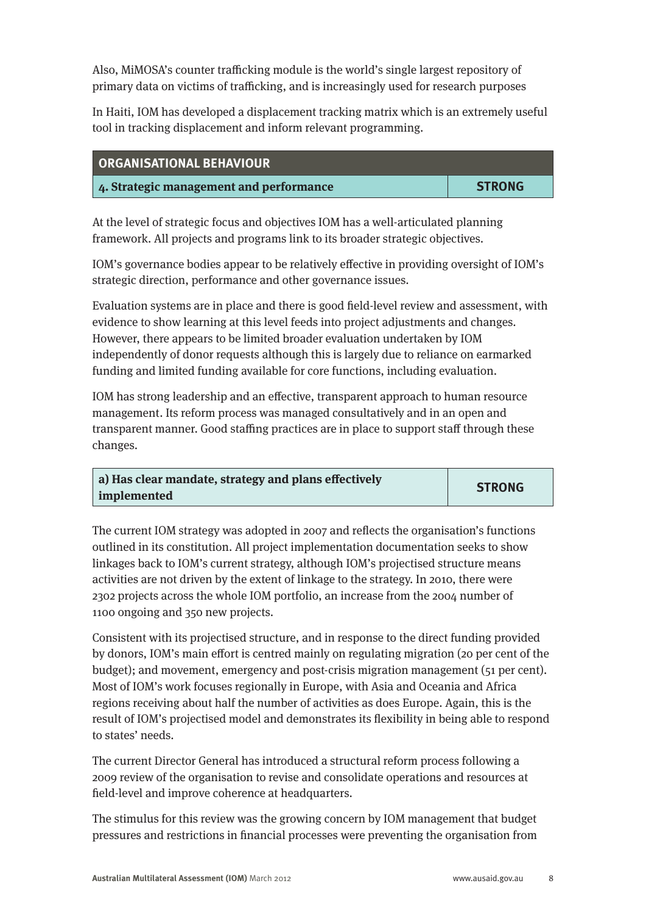Also, MiMOSA's counter trafficking module is the world's single largest repository of primary data on victims of trafficking, and is increasingly used for research purposes

In Haiti, IOM has developed a displacement tracking matrix which is an extremely useful tool in tracking displacement and inform relevant programming.

| ORGANISATIONAL BEHAVIOUR '              |               |
|-----------------------------------------|---------------|
| 4. Strategic management and performance | <b>STRONG</b> |

At the level of strategic focus and objectives IOM has a well-articulated planning framework. All projects and programs link to its broader strategic objectives.

IOM's governance bodies appear to be relatively effective in providing oversight of IOM's strategic direction, performance and other governance issues.

Evaluation systems are in place and there is good field-level review and assessment, with evidence to show learning at this level feeds into project adjustments and changes. However, there appears to be limited broader evaluation undertaken by IOM independently of donor requests although this is largely due to reliance on earmarked funding and limited funding available for core functions, including evaluation.

IOM has strong leadership and an effective, transparent approach to human resource management. Its reform process was managed consultatively and in an open and transparent manner. Good staffing practices are in place to support staff through these changes.

# **a) Has clear mandate, strategy and plans effectively implemented STRONG**

The current IOM strategy was adopted in 2007 and reflects the organisation's functions outlined in its constitution. All project implementation documentation seeks to show linkages back to IOM's current strategy, although IOM's projectised structure means activities are not driven by the extent of linkage to the strategy. In 2010, there were 2302 projects across the whole IOM portfolio, an increase from the 2004 number of 1100 ongoing and 350 new projects.

Consistent with its projectised structure, and in response to the direct funding provided by donors, IOM's main effort is centred mainly on regulating migration (20 per cent of the budget); and movement, emergency and post-crisis migration management (51 per cent). Most of IOM's work focuses regionally in Europe, with Asia and Oceania and Africa regions receiving about half the number of activities as does Europe. Again, this is the result of IOM's projectised model and demonstrates its flexibility in being able to respond to states' needs.

The current Director General has introduced a structural reform process following a 2009 review of the organisation to revise and consolidate operations and resources at field-level and improve coherence at headquarters.

The stimulus for this review was the growing concern by IOM management that budget pressures and restrictions in financial processes were preventing the organisation from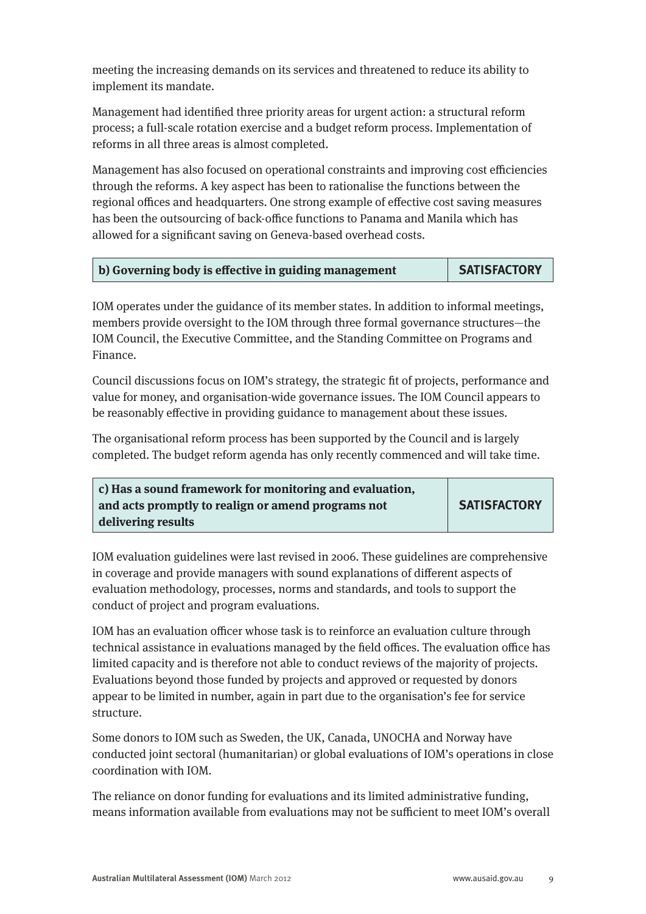meeting the increasing demands on its services and threatened to reduce its ability to implement its mandate.

Management had identified three priority areas for urgent action: a structural reform process; a full-scale rotation exercise and a budget reform process. Implementation of reforms in all three areas is almost completed.

Management has also focused on operational constraints and improving cost efficiencies through the reforms. A key aspect has been to rationalise the functions between the regional offices and headquarters. One strong example of effective cost saving measures has been the outsourcing of back-office functions to Panama and Manila which has allowed for a significant saving on Geneva-based overhead costs.

| b) Governing body is effective in guiding management | <b>SATISFACTORY</b> |
|------------------------------------------------------|---------------------|
|                                                      |                     |

IOM operates under the guidance of its member states. In addition to informal meetings, members provide oversight to the IOM through three formal governance structures—the IOM Council, the Executive Committee, and the Standing Committee on Programs and Finance.

Council discussions focus on IOM's strategy, the strategic fit of projects, performance and value for money, and organisation-wide governance issues. The IOM Council appears to be reasonably effective in providing guidance to management about these issues.

The organisational reform process has been supported by the Council and is largely completed. The budget reform agenda has only recently commenced and will take time.

**c) Has a sound framework for monitoring and evaluation, and acts promptly to realign or amend programs not delivering results**

**SATISFACTORY**

IOM evaluation guidelines were last revised in 2006. These guidelines are comprehensive in coverage and provide managers with sound explanations of different aspects of evaluation methodology, processes, norms and standards, and tools to support the conduct of project and program evaluations.

IOM has an evaluation officer whose task is to reinforce an evaluation culture through technical assistance in evaluations managed by the field offices. The evaluation office has limited capacity and is therefore not able to conduct reviews of the majority of projects. Evaluations beyond those funded by projects and approved or requested by donors appear to be limited in number, again in part due to the organisation's fee for service structure.

Some donors to IOM such as Sweden, the UK, Canada, UNOCHA and Norway have conducted joint sectoral (humanitarian) or global evaluations of IOM's operations in close coordination with IOM.

The reliance on donor funding for evaluations and its limited administrative funding, means information available from evaluations may not be sufficient to meet IOM's overall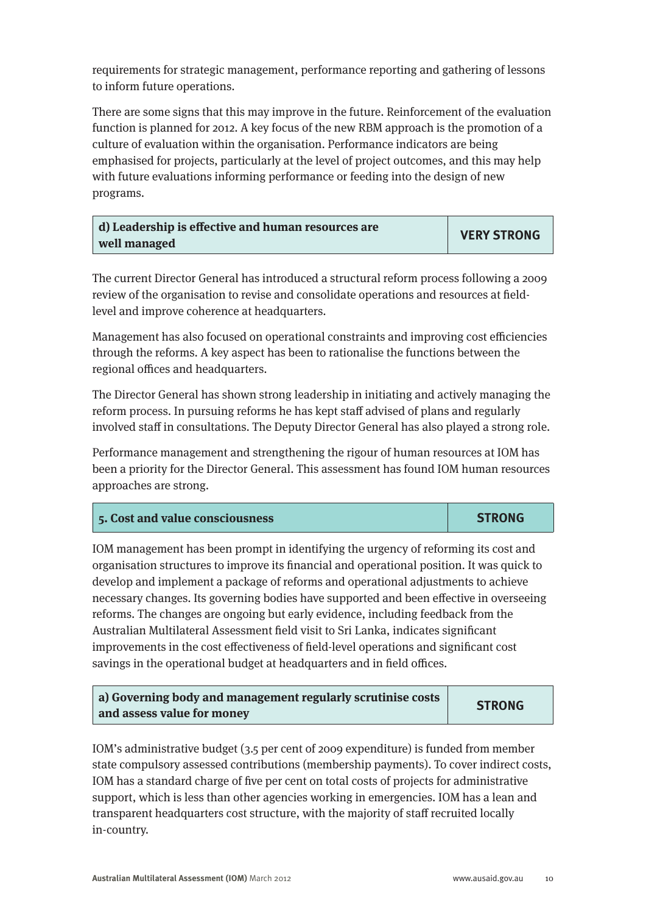requirements for strategic management, performance reporting and gathering of lessons to inform future operations.

There are some signs that this may improve in the future. Reinforcement of the evaluation function is planned for 2012. A key focus of the new RBM approach is the promotion of a culture of evaluation within the organisation. Performance indicators are being emphasised for projects, particularly at the level of project outcomes, and this may help with future evaluations informing performance or feeding into the design of new programs.

| d) Leadership is effective and human resources are | <b>VERY STRONG</b> |
|----------------------------------------------------|--------------------|
| well managed                                       |                    |

The current Director General has introduced a structural reform process following a 2009 review of the organisation to revise and consolidate operations and resources at fieldlevel and improve coherence at headquarters.

Management has also focused on operational constraints and improving cost efficiencies through the reforms. A key aspect has been to rationalise the functions between the regional offices and headquarters.

The Director General has shown strong leadership in initiating and actively managing the reform process. In pursuing reforms he has kept staff advised of plans and regularly involved staff in consultations. The Deputy Director General has also played a strong role.

Performance management and strengthening the rigour of human resources at IOM has been a priority for the Director General. This assessment has found IOM human resources approaches are strong.

| 5. Cost and value consciousness | <b>STRONG</b> |
|---------------------------------|---------------|
|---------------------------------|---------------|

IOM management has been prompt in identifying the urgency of reforming its cost and organisation structures to improve its financial and operational position. It was quick to develop and implement a package of reforms and operational adjustments to achieve necessary changes. Its governing bodies have supported and been effective in overseeing reforms. The changes are ongoing but early evidence, including feedback from the Australian Multilateral Assessment field visit to Sri Lanka, indicates significant improvements in the cost effectiveness of field-level operations and significant cost savings in the operational budget at headquarters and in field offices.

| $\,$ a) Governing body and management regularly scrutinise costs $\,$ | <b>STRONG</b> |
|-----------------------------------------------------------------------|---------------|
| and assess value for money                                            |               |

IOM's administrative budget (3.5 per cent of 2009 expenditure) is funded from member state compulsory assessed contributions (membership payments). To cover indirect costs, IOM has a standard charge of five per cent on total costs of projects for administrative support, which is less than other agencies working in emergencies. IOM has a lean and transparent headquarters cost structure, with the majority of staff recruited locally in-country.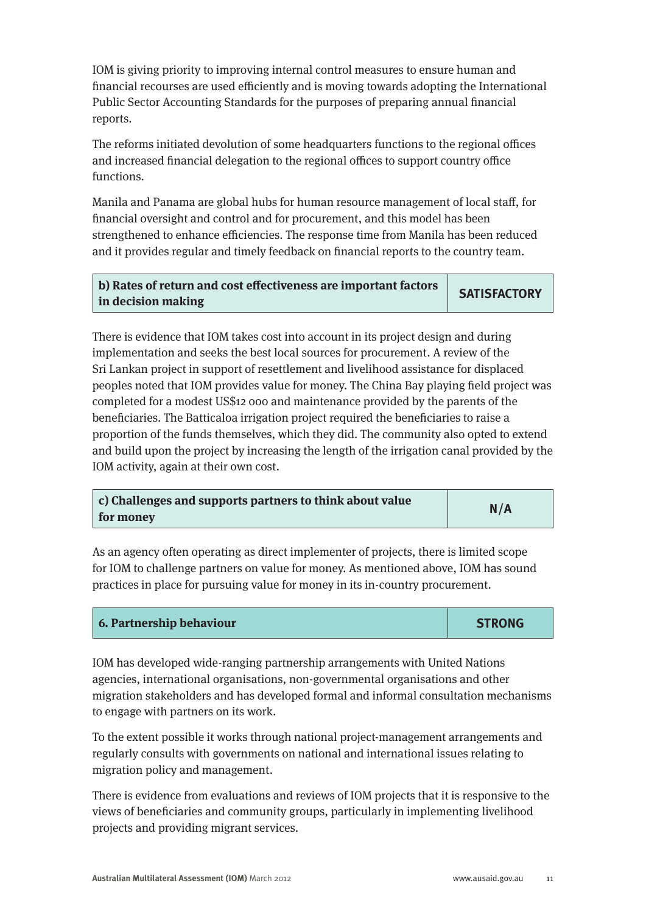IOM is giving priority to improving internal control measures to ensure human and financial recourses are used efficiently and is moving towards adopting the International Public Sector Accounting Standards for the purposes of preparing annual financial reports.

The reforms initiated devolution of some headquarters functions to the regional offices and increased financial delegation to the regional offices to support country office functions.

Manila and Panama are global hubs for human resource management of local staff, for financial oversight and control and for procurement, and this model has been strengthened to enhance efficiencies. The response time from Manila has been reduced and it provides regular and timely feedback on financial reports to the country team.

| b) Rates of return and cost effectiveness are important factors | <b>SATISFACTORY</b> |
|-----------------------------------------------------------------|---------------------|
| in decision making                                              |                     |

There is evidence that IOM takes cost into account in its project design and during implementation and seeks the best local sources for procurement. A review of the Sri Lankan project in support of resettlement and livelihood assistance for displaced peoples noted that IOM provides value for money. The China Bay playing field project was completed for a modest US\$12 000 and maintenance provided by the parents of the beneficiaries. The Batticaloa irrigation project required the beneficiaries to raise a proportion of the funds themselves, which they did. The community also opted to extend and build upon the project by increasing the length of the irrigation canal provided by the IOM activity, again at their own cost.

| c) Challenges and supports partners to think about value | N/A |
|----------------------------------------------------------|-----|
| for money                                                |     |

As an agency often operating as direct implementer of projects, there is limited scope for IOM to challenge partners on value for money. As mentioned above, IOM has sound practices in place for pursuing value for money in its in-country procurement.

| 6. Partnership behaviour | <b>STRONG</b> |
|--------------------------|---------------|
|--------------------------|---------------|

IOM has developed wide-ranging partnership arrangements with United Nations agencies, international organisations, non-governmental organisations and other migration stakeholders and has developed formal and informal consultation mechanisms to engage with partners on its work.

To the extent possible it works through national project-management arrangements and regularly consults with governments on national and international issues relating to migration policy and management.

There is evidence from evaluations and reviews of IOM projects that it is responsive to the views of beneficiaries and community groups, particularly in implementing livelihood projects and providing migrant services.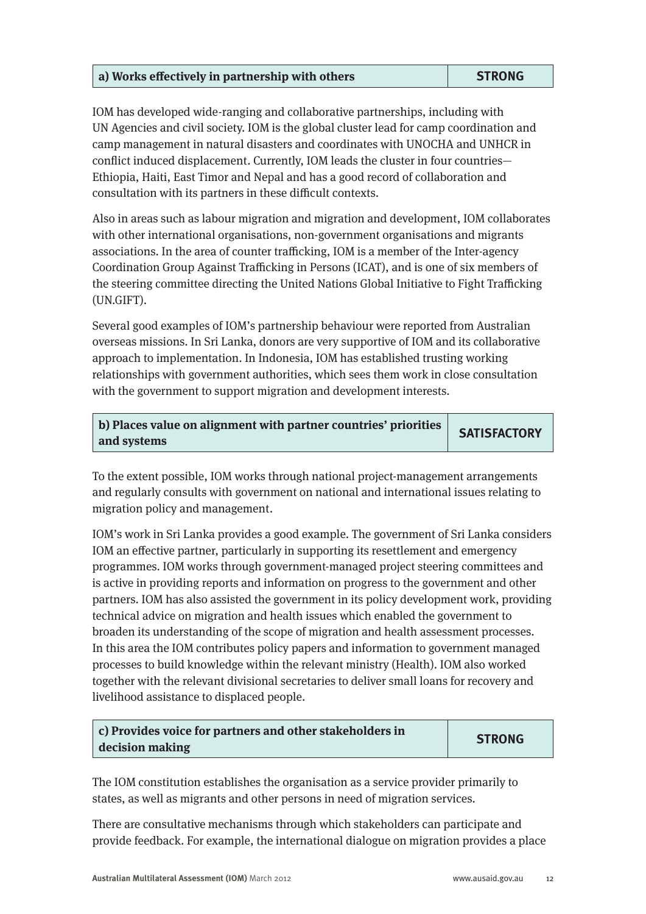| a) Works effectively in partnership with others | <b>STRONG</b> |
|-------------------------------------------------|---------------|
|                                                 |               |

IOM has developed wide-ranging and collaborative partnerships, including with UN Agencies and civil society. IOM is the global cluster lead for camp coordination and camp management in natural disasters and coordinates with UNOCHA and UNHCR in conflict induced displacement. Currently, IOM leads the cluster in four countries— Ethiopia, Haiti, East Timor and Nepal and has a good record of collaboration and consultation with its partners in these difficult contexts.

Also in areas such as labour migration and migration and development, IOM collaborates with other international organisations, non-government organisations and migrants associations. In the area of counter trafficking, IOM is a member of the Inter-agency Coordination Group Against Trafficking in Persons (ICAT), and is one of six members of the steering committee directing the United Nations Global Initiative to Fight Trafficking (UN.GIFT).

Several good examples of IOM's partnership behaviour were reported from Australian overseas missions. In Sri Lanka, donors are very supportive of IOM and its collaborative approach to implementation. In Indonesia, IOM has established trusting working relationships with government authorities, which sees them work in close consultation with the government to support migration and development interests.

| b) Places value on alignment with partner countries' priorities | <b>SATISFACTORY</b> |
|-----------------------------------------------------------------|---------------------|
| and systems                                                     |                     |

To the extent possible, IOM works through national project-management arrangements and regularly consults with government on national and international issues relating to migration policy and management.

IOM's work in Sri Lanka provides a good example. The government of Sri Lanka considers IOM an effective partner, particularly in supporting its resettlement and emergency programmes. IOM works through government-managed project steering committees and is active in providing reports and information on progress to the government and other partners. IOM has also assisted the government in its policy development work, providing technical advice on migration and health issues which enabled the government to broaden its understanding of the scope of migration and health assessment processes. In this area the IOM contributes policy papers and information to government managed processes to build knowledge within the relevant ministry (Health). IOM also worked together with the relevant divisional secretaries to deliver small loans for recovery and livelihood assistance to displaced people.

# **c) Provides voice for partners and other stakeholders in decision making STRONG**

The IOM constitution establishes the organisation as a service provider primarily to states, as well as migrants and other persons in need of migration services.

There are consultative mechanisms through which stakeholders can participate and provide feedback. For example, the international dialogue on migration provides a place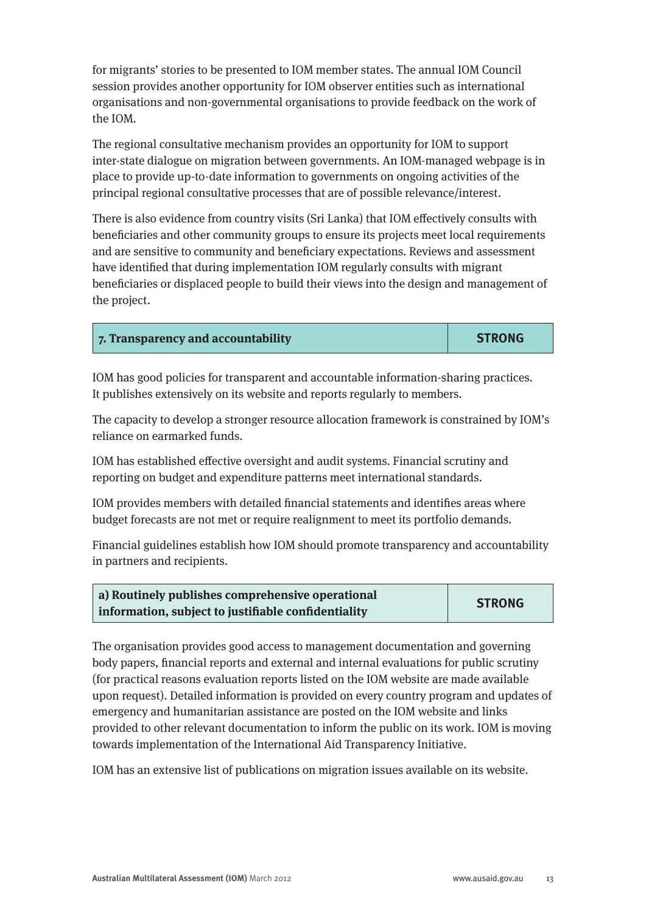for migrants' stories to be presented to IOM member states. The annual IOM Council session provides another opportunity for IOM observer entities such as international organisations and non-governmental organisations to provide feedback on the work of the IOM.

The regional consultative mechanism provides an opportunity for IOM to support inter-state dialogue on migration between governments. An IOM-managed webpage is in place to provide up-to-date information to governments on ongoing activities of the principal regional consultative processes that are of possible relevance/interest.

There is also evidence from country visits (Sri Lanka) that IOM effectively consults with beneficiaries and other community groups to ensure its projects meet local requirements and are sensitive to community and beneficiary expectations. Reviews and assessment have identified that during implementation IOM regularly consults with migrant beneficiaries or displaced people to build their views into the design and management of the project.

### **7. Transparency and accountability STRONG**

IOM has good policies for transparent and accountable information-sharing practices. It publishes extensively on its website and reports regularly to members.

The capacity to develop a stronger resource allocation framework is constrained by IOM's reliance on earmarked funds.

IOM has established effective oversight and audit systems. Financial scrutiny and reporting on budget and expenditure patterns meet international standards.

IOM provides members with detailed financial statements and identifies areas where budget forecasts are not met or require realignment to meet its portfolio demands.

Financial guidelines establish how IOM should promote transparency and accountability in partners and recipients.

| a) Routinely publishes comprehensive operational    | <b>STRONG</b> |
|-----------------------------------------------------|---------------|
| information, subject to justifiable confidentiality |               |

The organisation provides good access to management documentation and governing body papers, financial reports and external and internal evaluations for public scrutiny (for practical reasons evaluation reports listed on the IOM website are made available upon request). Detailed information is provided on every country program and updates of emergency and humanitarian assistance are posted on the IOM website and links provided to other relevant documentation to inform the public on its work. IOM is moving towards implementation of the International Aid Transparency Initiative.

IOM has an extensive list of publications on migration issues available on its website.